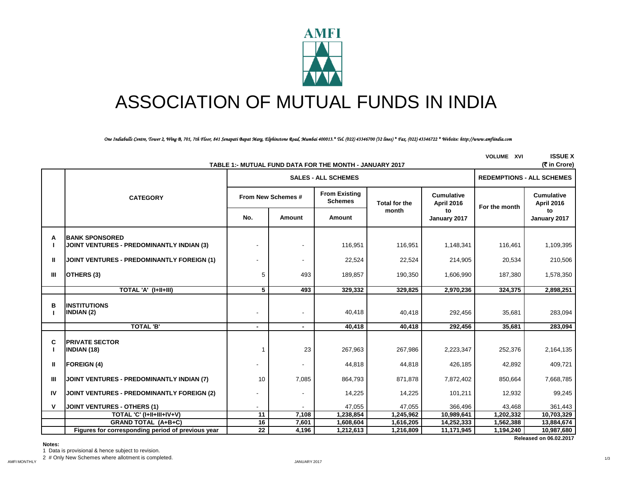

# ASSOCIATION OF MUTUAL FUNDS IN INDIA

*One Indiabulls Centre, Tower 2, Wing B, 701, 7th Floor, 841 Senapati Bapat Marg, Elphinstone Road, Mumbai 400013.\* Tel. (022) 43346700 (32 lines) \* Fax. (022) 43346722 \* Website: http://www.amfiindia.com*

|    | (そ in Crore)<br>TABLE 1:- MUTUAL FUND DATA FOR THE MONTH - JANUARY 2017   |                          |                          |                                        |                      |                                 |               |                                        |  |  |
|----|---------------------------------------------------------------------------|--------------------------|--------------------------|----------------------------------------|----------------------|---------------------------------|---------------|----------------------------------------|--|--|
|    |                                                                           |                          |                          | <b>SALES - ALL SCHEMES</b>             |                      |                                 |               | <b>REDEMPTIONS - ALL SCHEMES</b>       |  |  |
|    | <b>CATEGORY</b>                                                           |                          | From New Schemes #       | <b>From Existing</b><br><b>Schemes</b> | <b>Total for the</b> | <b>Cumulative</b><br>April 2016 | For the month | <b>Cumulative</b><br><b>April 2016</b> |  |  |
|    |                                                                           | No.                      | Amount                   | Amount                                 | month                | to<br>January 2017              |               | to<br>January 2017                     |  |  |
| А  | <b>BANK SPONSORED</b><br><b>JOINT VENTURES - PREDOMINANTLY INDIAN (3)</b> |                          |                          | 116,951                                | 116,951              | 1,148,341                       | 116,461       | 1,109,395                              |  |  |
| Ш  | <b>JOINT VENTURES - PREDOMINANTLY FOREIGN (1)</b>                         |                          |                          | 22,524                                 | 22,524               | 214,905                         | 20,534        | 210,506                                |  |  |
| Ш  | OTHERS (3)                                                                | 5                        | 493                      | 189,857                                | 190,350              | 1,606,990                       | 187,380       | 1,578,350                              |  |  |
|    | TOTAL 'A' (I+II+III)                                                      | 5                        | 493                      | 329,332                                | 329,825              | 2,970,236                       | 324,375       | 2,898,251                              |  |  |
| B  | <b>INSTITUTIONS</b><br><b>INDIAN (2)</b>                                  | $\overline{\phantom{a}}$ |                          | 40,418                                 | 40,418               | 292,456                         | 35,681        | 283,094                                |  |  |
|    | <b>TOTAL 'B'</b>                                                          | $\blacksquare$           | $\overline{\phantom{0}}$ | 40,418                                 | 40,418               | 292,456                         | 35,681        | 283,094                                |  |  |
| C  | <b>PRIVATE SECTOR</b><br><b>INDIAN (18)</b>                               | 1                        | 23                       | 267,963                                | 267,986              | 2,223,347                       | 252,376       | 2,164,135                              |  |  |
| Ш  | <b>FOREIGN (4)</b>                                                        |                          |                          | 44,818                                 | 44,818               | 426,185                         | 42,892        | 409,721                                |  |  |
| Ш  | JOINT VENTURES - PREDOMINANTLY INDIAN (7)                                 | 10                       | 7,085                    | 864,793                                | 871,878              | 7,872,402                       | 850,664       | 7,668,785                              |  |  |
| IV | <b>JOINT VENTURES - PREDOMINANTLY FOREIGN (2)</b>                         | $\blacksquare$           |                          | 14,225                                 | 14,225               | 101,211                         | 12,932        | 99,245                                 |  |  |
| ν  | <b>JOINT VENTURES - OTHERS (1)</b>                                        | ÷                        |                          | 47,055                                 | 47,055               | 366,496                         | 43,468        | 361,443                                |  |  |
|    | TOTAL 'C' (I+II+III+IV+V)                                                 | 11                       | 7,108                    | 1,238,854                              | 1,245,962            | 10,989,641                      | 1,202,332     | 10,703,329                             |  |  |
|    | <b>GRAND TOTAL (A+B+C)</b>                                                | 16                       | 7,601                    | 1,608,604                              | 1,616,205            | 14,252,333                      | 1,562,388     | 13,884,674                             |  |  |
|    | Figures for corresponding period of previous year                         | 22                       | 4,196                    | 1,212,613                              | 1,216,809            | 11,171,945                      | 1,194,240     | 10,987,680                             |  |  |
|    | Released on 06.02.2017                                                    |                          |                          |                                        |                      |                                 |               |                                        |  |  |

## **Notes:**

1 Data is provisional & hence subject to revision.

2 # Only New Schemes where allotment is completed.

1/3

**VOLUME XVI ISSUE X**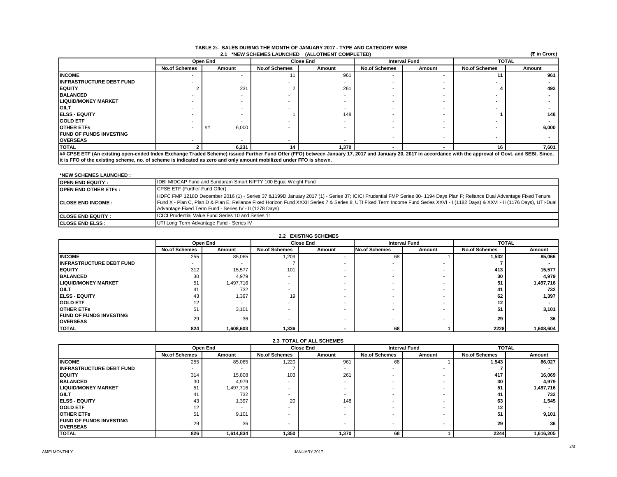| (₹ in Crore)<br>2.1 *NEW SCHEMES LAUNCHED (ALLOTMENT COMPLETED)                                                    |                                                                                                                                                                                                           |             |                      |        |                      |        |                      |        |  |
|--------------------------------------------------------------------------------------------------------------------|-----------------------------------------------------------------------------------------------------------------------------------------------------------------------------------------------------------|-------------|----------------------|--------|----------------------|--------|----------------------|--------|--|
|                                                                                                                    |                                                                                                                                                                                                           | Open End    | <b>Close End</b>     |        | <b>Interval Fund</b> |        | <b>TOTAL</b>         |        |  |
|                                                                                                                    | <b>No.of Schemes</b>                                                                                                                                                                                      | Amount      | <b>No.of Schemes</b> | Amount | <b>No.of Schemes</b> | Amount | <b>No.of Schemes</b> | Amount |  |
| <b>INCOME</b>                                                                                                      |                                                                                                                                                                                                           |             |                      | 961    |                      |        |                      | 961    |  |
| <b>IINFRASTRUCTURE DEBT FUND</b>                                                                                   |                                                                                                                                                                                                           |             |                      |        |                      |        |                      |        |  |
| <b>IEQUITY</b>                                                                                                     |                                                                                                                                                                                                           | 231         |                      | 261    |                      |        |                      | 492    |  |
| <b>BALANCED</b>                                                                                                    |                                                                                                                                                                                                           |             |                      |        |                      |        |                      |        |  |
| <b>LIQUID/MONEY MARKET</b>                                                                                         |                                                                                                                                                                                                           |             |                      |        |                      |        |                      |        |  |
| <b>IGILT</b>                                                                                                       |                                                                                                                                                                                                           |             |                      |        |                      |        |                      |        |  |
| <b>IELSS - EQUITY</b>                                                                                              |                                                                                                                                                                                                           |             |                      | 148    |                      |        |                      | 148    |  |
| <b>GOLD ETF</b>                                                                                                    |                                                                                                                                                                                                           |             |                      |        |                      |        |                      |        |  |
| <b>IOTHER ETFS</b>                                                                                                 |                                                                                                                                                                                                           | 6,000<br>## |                      |        |                      |        |                      | 6,000  |  |
| <b>IFUND OF FUNDS INVESTING</b>                                                                                    |                                                                                                                                                                                                           |             |                      |        |                      |        |                      |        |  |
| <b>OVERSEAS</b>                                                                                                    |                                                                                                                                                                                                           |             |                      |        |                      |        |                      |        |  |
| <b>ITOTAL</b>                                                                                                      |                                                                                                                                                                                                           | 6.231       | 14                   | 1.370  |                      |        | 16                   | 7.601  |  |
|                                                                                                                    | ## CPSE ETF (An existing open-ended Index Exchange Traded Scheme) issued Further Fund Offer (FFO) between January 17, 2017 and January 20, 2017 in accordance with the approval of Govt. and SEBI. Since, |             |                      |        |                      |        |                      |        |  |
| it is FFO of the existing scheme, no. of scheme is indicated as zero and only amount mobilized under FFO is shown. |                                                                                                                                                                                                           |             |                      |        |                      |        |                      |        |  |

#### **TABLE 2:- SALES DURING THE MONTH OF JANUARY 2017 - TYPE AND CATEGORY WISE 2.1 \*NEW SCHEMES LAUNCHED (ALLOTMENT COMPLETED)**

**\*NEW SCHEMES LAUNCHED :** 

| <b>OPEN END EQUITY:</b>      | <b>IDBI MIDCAP Fund and Sundaram Smart NIFTY 100 Equal Weight Fund</b>                                                                                                                                                                                                                                                                                                                                                  |
|------------------------------|-------------------------------------------------------------------------------------------------------------------------------------------------------------------------------------------------------------------------------------------------------------------------------------------------------------------------------------------------------------------------------------------------------------------------|
| <b>IOPEN END OTHER ETFS:</b> | CPSE ETF (Further Fund Offer)                                                                                                                                                                                                                                                                                                                                                                                           |
| <b>ICLOSE END INCOME:</b>    | HDFC FMP 1218D December 2016 (1) - Series 37 &1199D January 2017 (1) - Series 37; ICICI Prudential FMP Series 80- 1194 Days Plan F; Reliance Dual Advantage Fixed Tenure<br>Fund X - Plan C, Plan D & Plan E, Reliance Fixed Horizon Fund XXXII Series 7 & Series 8; UTI Fixed Term Income Fund Series XXVI - I (1182 Days) & XXVI - II (1176 Days), UTI-Dual<br>Advantage Fixed Term Fund - Series IV - II (1278 Days) |
| <b>ICLOSE END EQUITY :</b>   | <b>ICICI Prudential Value Fund Series 10 and Series 11</b>                                                                                                                                                                                                                                                                                                                                                              |
| <b>CLOSE END ELSS:</b>       | UTI Long Term Advantage Fund - Series IV                                                                                                                                                                                                                                                                                                                                                                                |

| 2.2 EXISTING SCHEMES            |                          |           |                          |        |                      |                          |                      |              |  |
|---------------------------------|--------------------------|-----------|--------------------------|--------|----------------------|--------------------------|----------------------|--------------|--|
|                                 |                          | Open End  | <b>Close End</b>         |        | <b>Interval Fund</b> |                          |                      | <b>TOTAL</b> |  |
|                                 | <b>No.of Schemes</b>     | Amount    | <b>No.of Schemes</b>     | Amount | <b>No.of Schemes</b> | Amount                   | <b>No.of Schemes</b> | Amount       |  |
| <b>INCOME</b>                   | 255                      | 85,065    | 1,209                    |        | 68                   |                          | 1,532                | 85,066       |  |
| <b>INFRASTRUCTURE DEBT FUND</b> | $\overline{\phantom{a}}$ |           |                          |        |                      |                          |                      |              |  |
| <b>IEQUITY</b>                  | 312                      | 15,577    | 101                      |        |                      | -                        | 413                  | 15,577       |  |
| <b>BALANCED</b>                 | 30                       | 4,979     |                          |        |                      | -                        | 30                   | 4,979        |  |
| <b>ILIQUID/MONEY MARKET</b>     | 51                       | 1,497,716 | - 1                      |        |                      | -                        | 51                   | 1,497,716    |  |
| <b>IGILT</b>                    | 41                       | 732       |                          |        |                      | -                        | 41                   | 732          |  |
| <b>IELSS - EQUITY</b>           | 43                       | 1,397     | 19                       |        |                      | -                        | 62                   | 1,397        |  |
| <b>GOLD ETF</b>                 | 12                       |           |                          |        |                      | -                        | 12                   |              |  |
| <b>IOTHER ETFS</b>              | 51                       | 3,101     |                          |        |                      | -                        | 51                   | 3,101        |  |
| <b>IFUND OF FUNDS INVESTING</b> | 29                       | 36        | $\overline{\phantom{a}}$ |        |                      | $\overline{\phantom{a}}$ | 29                   | 36           |  |
| <b>OVERSEAS</b>                 |                          |           |                          |        |                      |                          |                      |              |  |
| <b>ITOTAL</b>                   | 824                      | 1,608,603 | 1,336                    |        | 68                   |                          | 2228                 | 1,608,604    |  |

| 2.3 TOTAL OF ALL SCHEMES         |                      |           |                      |        |                      |                      |                      |              |  |
|----------------------------------|----------------------|-----------|----------------------|--------|----------------------|----------------------|----------------------|--------------|--|
|                                  |                      | Open End  | <b>Close End</b>     |        |                      | <b>Interval Fund</b> |                      | <b>TOTAL</b> |  |
|                                  | <b>No.of Schemes</b> | Amount    | <b>No.of Schemes</b> | Amount | <b>No.of Schemes</b> | Amount               | <b>No.of Schemes</b> | Amount       |  |
| <b>INCOME</b>                    | 255                  | 85,065    | 1,220                | 961    | 68                   |                      | 1,543                | 86,027       |  |
| <b>IINFRASTRUCTURE DEBT FUND</b> |                      |           |                      |        |                      |                      |                      |              |  |
| <b>IEQUITY</b>                   | 314                  | 15,808    | 103                  | 261    |                      |                      | 417                  | 16,069       |  |
| <b>BALANCED</b>                  | 30                   | 4,979     |                      |        |                      |                      | 30                   | 4.979        |  |
| <b>LIQUID/MONEY MARKET</b>       | 51                   | 1,497,716 |                      |        |                      |                      | 51                   | 1,497,716    |  |
| <b>IGILT</b>                     | 41                   | 732       |                      |        |                      |                      | 41                   | 732          |  |
| <b>IELSS - EQUITY</b>            | 43                   | 1,397     | 20                   | 148    |                      |                      | 63                   | 1,545        |  |
| <b>GOLD ETF</b>                  | 12 <sub>1</sub>      |           |                      |        |                      |                      | 12                   |              |  |
| <b>OTHER ETFS</b>                | 51                   | 9,101     |                      |        |                      |                      | 51                   | 9,101        |  |
| <b>IFUND OF FUNDS INVESTING</b>  | 29                   | 36        |                      |        |                      |                      | 29                   | 36           |  |
| <b>OVERSEAS</b>                  |                      |           |                      |        |                      |                      |                      |              |  |
| <b>TOTAL</b>                     | 826                  | 1,614,834 | 1,350                | 1,370  | 68                   |                      | 2244                 | 1,616,205    |  |

## **2.3 TOTAL OF ALL SCHEMES**